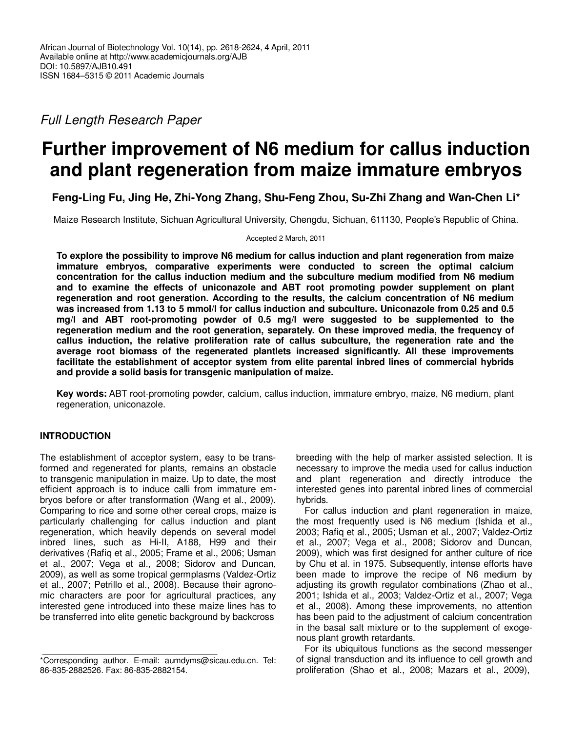Full Length Research Paper

# **Further improvement of N6 medium for callus induction and plant regeneration from maize immature embryos**

**Feng-Ling Fu, Jing He, Zhi-Yong Zhang, Shu-Feng Zhou, Su-Zhi Zhang and Wan-Chen Li\*** 

Maize Research Institute, Sichuan Agricultural University, Chengdu, Sichuan, 611130, People's Republic of China.

Accepted 2 March, 2011

**To explore the possibility to improve N6 medium for callus induction and plant regeneration from maize immature embryos, comparative experiments were conducted to screen the optimal calcium concentration for the callus induction medium and the subculture medium modified from N6 medium and to examine the effects of uniconazole and ABT root promoting powder supplement on plant regeneration and root generation. According to the results, the calcium concentration of N6 medium was increased from 1.13 to 5 mmol/l for callus induction and subculture. Uniconazole from 0.25 and 0.5 mg/l and ABT root-promoting powder of 0.5 mg/l were suggested to be supplemented to the regeneration medium and the root generation, separately. On these improved media, the frequency of callus induction, the relative proliferation rate of callus subculture, the regeneration rate and the average root biomass of the regenerated plantlets increased significantly. All these improvements facilitate the establishment of acceptor system from elite parental inbred lines of commercial hybrids and provide a solid basis for transgenic manipulation of maize.** 

**Key words:** ABT root-promoting powder, calcium, callus induction, immature embryo, maize, N6 medium, plant regeneration, uniconazole.

# **INTRODUCTION**

The establishment of acceptor system, easy to be transformed and regenerated for plants, remains an obstacle to transgenic manipulation in maize. Up to date, the most efficient approach is to induce calli from immature embryos before or after transformation (Wang et al., 2009). Comparing to rice and some other cereal crops, maize is particularly challenging for callus induction and plant regeneration, which heavily depends on several model inbred lines, such as Hi-II, A188, H99 and their derivatives (Rafiq et al., 2005; Frame et al., 2006; Usman et al., 2007; Vega et al., 2008; Sidorov and Duncan, 2009), as well as some tropical germplasms (Valdez-Ortiz et al., 2007; Petrillo et al., 2008). Because their agronomic characters are poor for agricultural practices, any interested gene introduced into these maize lines has to be transferred into elite genetic background by backcross

breeding with the help of marker assisted selection. It is necessary to improve the media used for callus induction and plant regeneration and directly introduce the interested genes into parental inbred lines of commercial hybrids.

For callus induction and plant regeneration in maize, the most frequently used is N6 medium (Ishida et al., 2003; Rafiq et al., 2005; Usman et al., 2007; Valdez-Ortiz et al., 2007; Vega et al., 2008; Sidorov and Duncan, 2009), which was first designed for anther culture of rice by Chu et al. in 1975. Subsequently, intense efforts have been made to improve the recipe of N6 medium by adjusting its growth regulator combinations (Zhao et al., 2001; Ishida et al., 2003; Valdez-Ortiz et al., 2007; Vega et al., 2008). Among these improvements, no attention has been paid to the adjustment of calcium concentration in the basal salt mixture or to the supplement of exogenous plant growth retardants.

For its ubiquitous functions as the second messenger of signal transduction and its influence to cell growth and proliferation (Shao et al., 2008; Mazars et al., 2009),

<sup>\*</sup>Corresponding author. E-mail: aumdyms@sicau.edu.cn. Tel: 86-835-2882526. Fax: 86-835-2882154.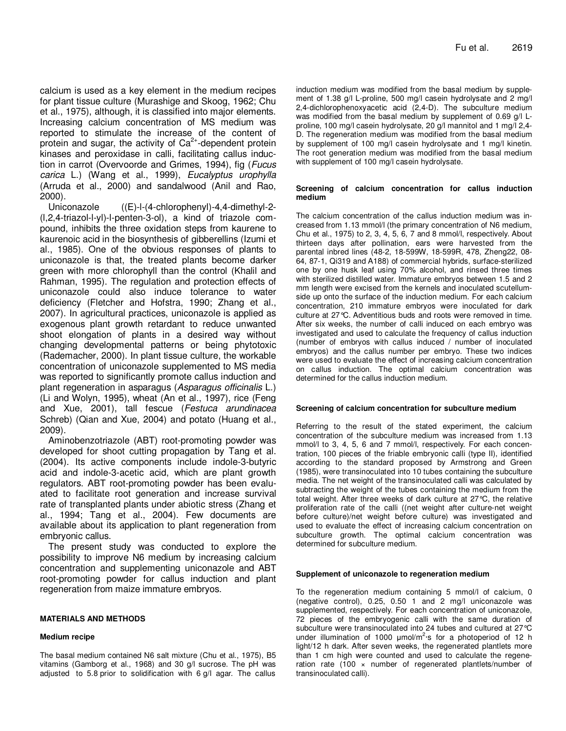calcium is used as a key element in the medium recipes for plant tissue culture (Murashige and Skoog, 1962; Chu et al., 1975), although, it is classified into major elements. Increasing calcium concentration of MS medium was reported to stimulate the increase of the content of protein and sugar, the activity of  $Ca<sup>2+</sup>$ -dependent protein kinases and peroxidase in calli, facilitating callus induction in carrot (Overvoorde and Grimes, 1994), fig (Fucus carica L.) (Wang et al., 1999), Eucalyptus urophylla (Arruda et al., 2000) and sandalwood (Anil and Rao, 2000).

Uniconazole ((E)-l-(4-chlorophenyl)-4,4-dimethyl-2- (l,2,4-triazol-l-yl)-l-penten-3-ol), a kind of triazole compound, inhibits the three oxidation steps from kaurene to kaurenoic acid in the biosynthesis of gibberellins (Izumi et al., 1985). One of the obvious responses of plants to uniconazole is that, the treated plants become darker green with more chlorophyll than the control (Khalil and Rahman, 1995). The regulation and protection effects of uniconazole could also induce tolerance to water deficiency (Fletcher and Hofstra, 1990; Zhang et al., 2007). In agricultural practices, uniconazole is applied as exogenous plant growth retardant to reduce unwanted shoot elongation of plants in a desired way without changing developmental patterns or being phytotoxic (Rademacher, 2000). In plant tissue culture, the workable concentration of uniconazole supplemented to MS media was reported to significantly promote callus induction and plant regeneration in asparagus (Asparagus officinalis L.) (Li and Wolyn, 1995), wheat (An et al., 1997), rice (Feng and Xue, 2001), tall fescue (Festuca arundinacea Schreb) (Qian and Xue, 2004) and potato (Huang et al., 2009).

Aminobenzotriazole (ABT) root-promoting powder was developed for shoot cutting propagation by Tang et al. (2004). Its active components include indole-3-butyric acid and indole-3-acetic acid, which are plant growth regulators. ABT root-promoting powder has been evaluated to facilitate root generation and increase survival rate of transplanted plants under abiotic stress (Zhang et al., 1994; Tang et al., 2004). Few documents are available about its application to plant regeneration from embryonic callus.

The present study was conducted to explore the possibility to improve N6 medium by increasing calcium concentration and supplementing uniconazole and ABT root-promoting powder for callus induction and plant regeneration from maize immature embryos.

## **MATERIALS AND METHODS**

## **Medium recipe**

The basal medium contained N6 salt mixture (Chu et al., 1975), B5 vitamins (Gamborg et al., 1968) and 30 g/l sucrose. The pH was adjusted to 5.8 prior to solidification with 6 g/l agar. The callus induction medium was modified from the basal medium by supplement of 1.38 g/l L-proline, 500 mg/l casein hydrolysate and 2 mg/l 2,4-dichlorophenoxyacetic acid (2,4-D). The subculture medium was modified from the basal medium by supplement of 0.69 g/l Lproline, 100 mg/l casein hydrolysate, 20 g/l mannitol and 1 mg/l 2,4- D. The regeneration medium was modified from the basal medium by supplement of 100 mg/l casein hydrolysate and 1 mg/l kinetin. The root generation medium was modified from the basal medium with supplement of 100 mg/l casein hydrolysate.

## **Screening of calcium concentration for callus induction medium**

The calcium concentration of the callus induction medium was increased from 1.13 mmol/l (the primary concentration of N6 medium, Chu et al., 1975) to 2, 3, 4, 5, 6, 7 and 8 mmol/l, respectively. About thirteen days after pollination, ears were harvested from the parental inbred lines (48-2, 18-599W, 18-599R, 478, Zheng22, 08- 64, 87-1, Qi319 and A188) of commercial hybrids, surface-sterilized one by one husk leaf using 70% alcohol, and rinsed three times with sterilized distilled water. Immature embryos between 1.5 and 2 mm length were excised from the kernels and inoculated scutellumside up onto the surface of the induction medium. For each calcium concentration, 210 immature embryos were inoculated for dark culture at 27°C. Adventitious buds and roots were removed in time. After six weeks, the number of calli induced on each embryo was investigated and used to calculate the frequency of callus induction (number of embryos with callus induced / number of inoculated embryos) and the callus number per embryo. These two indices were used to evaluate the effect of increasing calcium concentration on callus induction. The optimal calcium concentration was determined for the callus induction medium.

## **Screening of calcium concentration for subculture medium**

Referring to the result of the stated experiment, the calcium concentration of the subculture medium was increased from 1.13 mmol/l to 3, 4, 5, 6 and 7 mmol/l, respectively. For each concentration, 100 pieces of the friable embryonic calli (type II), identified according to the standard proposed by Armstrong and Green (1985), were transinoculated into 10 tubes containing the subculture media. The net weight of the transinoculated calli was calculated by subtracting the weight of the tubes containing the medium from the total weight. After three weeks of dark culture at 27°C, the relative proliferation rate of the calli ((net weight after culture-net weight before culture)/net weight before culture) was investigated and used to evaluate the effect of increasing calcium concentration on subculture growth. The optimal calcium concentration was determined for subculture medium.

## **Supplement of uniconazole to regeneration medium**

To the regeneration medium containing 5 mmol/l of calcium, 0 (negative control), 0.25, 0.50 1 and 2 mg/l uniconazole was supplemented, respectively. For each concentration of uniconazole, 72 pieces of the embryogenic calli with the same duration of subculture were transinoculated into 24 tubes and cultured at 27°C under illumination of 1000  $\mu$ mol/m<sup>2</sup>·s for a photoperiod of 12 h light/12 h dark. After seven weeks, the regenerated plantlets more than 1 cm high were counted and used to calculate the regeneration rate  $(100 \times$  number of regenerated plantlets/number of transinoculated calli).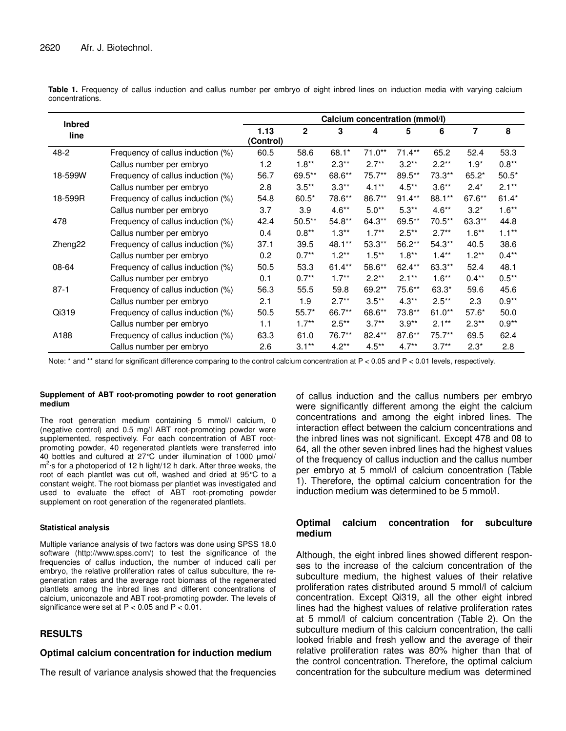| <b>Inbred</b>       |                                   | Calcium concentration (mmol/l) |              |          |          |          |           |                |          |
|---------------------|-----------------------------------|--------------------------------|--------------|----------|----------|----------|-----------|----------------|----------|
| line                |                                   | 1.13<br>(Control)              | $\mathbf{2}$ | 3        | 4        | 5        | 6         | $\overline{7}$ | 8        |
| 48-2                | Frequency of callus induction (%) | 60.5                           | 58.6         | $68.1*$  | $71.0**$ | $71.4**$ | 65.2      | 52.4           | 53.3     |
|                     | Callus number per embryo          | 1.2                            | $1.8**$      | $2.3**$  | $2.7**$  | $3.2**$  | $2.2**$   | $1.9*$         | $0.8**$  |
| 18-599W             | Frequency of callus induction (%) | 56.7                           | 69.5**       | 68.6**   | 75.7**   | 89.5**   | 73.3**    | $65.2*$        | $50.5*$  |
|                     | Callus number per embryo          | 2.8                            | $3.5**$      | $3.3**$  | $4.1***$ | $4.5**$  | $3.6**$   | $2.4*$         | $2.1**$  |
| 18-599R             | Frequency of callus induction (%) | 54.8                           | $60.5*$      | 78.6**   | 86.7**   | $91.4**$ | 88.1**    | 67.6**         | $61.4*$  |
|                     | Callus number per embryo          | 3.7                            | 3.9          | $4.6**$  | $5.0**$  | $5.3**$  | $4.6**$   | $3.2*$         | $1.6**$  |
| 478                 | Frequency of callus induction (%) | 42.4                           | $50.5**$     | $54.8**$ | 64.3**   | 69.5**   | $70.5***$ | 63.3**         | 44.8     |
|                     | Callus number per embryo          | 0.4                            | $0.8**$      | $1.3**$  | $1.7***$ | $2.5**$  | $2.7**$   | $1.6***$       | $1.1***$ |
| Zheng <sub>22</sub> | Frequency of callus induction (%) | 37.1                           | 39.5         | 48.1**   | 53.3**   | 56.2**   | $54.3**$  | 40.5           | 38.6     |
|                     | Callus number per embryo          | 0.2                            | $0.7**$      | $1.2**$  | $1.5***$ | $1.8**$  | $1.4***$  | $1.2**$        | $0.4**$  |
| 08-64               | Frequency of callus induction (%) | 50.5                           | 53.3         | $61.4**$ | 58.6**   | $62.4**$ | 63.3**    | 52.4           | 48.1     |
|                     | Callus number per embryo          | 0.1                            | $0.7**$      | $1.7**$  | $2.2**$  | $2.1**$  | $1.6***$  | $0.4***$       | $0.5***$ |
| $87 - 1$            | Frequency of callus induction (%) | 56.3                           | 55.5         | 59.8     | 69.2**   | 75.6**   | 63.3*     | 59.6           | 45.6     |
|                     | Callus number per embryo          | 2.1                            | 1.9          | $2.7**$  | $3.5**$  | $4.3**$  | $2.5***$  | 2.3            | $0.9**$  |
| Qi319               | Frequency of callus induction (%) | 50.5                           | $55.7*$      | 66.7**   | 68.6**   | 73.8**   | $61.0**$  | $57.6*$        | 50.0     |
|                     | Callus number per embryo          | 1.1                            | $1.7**$      | $2.5**$  | $3.7**$  | $3.9**$  | $2.1**$   | $2.3**$        | $0.9**$  |
| A188                | Frequency of callus induction (%) | 63.3                           | 61.0         | 76.7**   | 82.4**   | 87.6**   | 75.7**    | 69.5           | 62.4     |
|                     | Callus number per embryo          | 2.6                            | $3.1**$      | $4.2**$  | $4.5***$ | $4.7**$  | $3.7**$   | $2.3*$         | 2.8      |

Table 1. Frequency of callus induction and callus number per embryo of eight inbred lines on induction media with varying calcium concentrations.

Note: \* and \*\* stand for significant difference comparing to the control calcium concentration at P < 0.05 and P < 0.01 levels, respectively.

## **Supplement of ABT root-promoting powder to root generation medium**

The root generation medium containing 5 mmol/l calcium, 0 (negative control) and 0.5 mg/l ABT root-promoting powder were supplemented, respectively. For each concentration of ABT rootpromoting powder, 40 regenerated plantlets were transferred into 40 bottles and cultured at 27°C under illumination of 1000 µmol/ m<sup>2</sup>·s for a photoperiod of 12 h light/12 h dark. After three weeks, the root of each plantlet was cut off, washed and dried at 95°C to a constant weight. The root biomass per plantlet was investigated and used to evaluate the effect of ABT root-promoting powder supplement on root generation of the regenerated plantlets.

## **Statistical analysis**

Multiple variance analysis of two factors was done using SPSS 18.0 software (http://www.spss.com/) to test the significance of the frequencies of callus induction, the number of induced calli per embryo, the relative proliferation rates of callus subculture, the regeneration rates and the average root biomass of the regenerated plantlets among the inbred lines and different concentrations of calcium, uniconazole and ABT root-promoting powder. The levels of significance were set at  $P < 0.05$  and  $P < 0.01$ .

# **RESULTS**

## **Optimal calcium concentration for induction medium**

The result of variance analysis showed that the frequencies

of callus induction and the callus numbers per embryo were significantly different among the eight the calcium concentrations and among the eight inbred lines. The interaction effect between the calcium concentrations and the inbred lines was not significant. Except 478 and 08 to 64, all the other seven inbred lines had the highest values of the frequency of callus induction and the callus number per embryo at 5 mmol/l of calcium concentration (Table 1). Therefore, the optimal calcium concentration for the induction medium was determined to be 5 mmol/l.

## **Optimal calcium concentration for subculture medium**

Although, the eight inbred lines showed different responses to the increase of the calcium concentration of the subculture medium, the highest values of their relative proliferation rates distributed around 5 mmol/l of calcium concentration. Except Qi319, all the other eight inbred lines had the highest values of relative proliferation rates at 5 mmol/l of calcium concentration (Table 2). On the subculture medium of this calcium concentration, the calli looked friable and fresh yellow and the average of their relative proliferation rates was 80% higher than that of the control concentration. Therefore, the optimal calcium concentration for the subculture medium was determined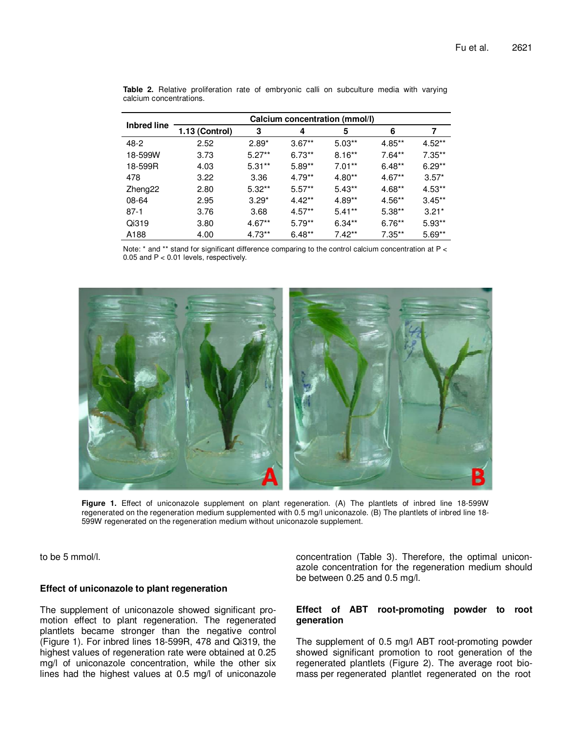|                    | Calcium concentration (mmol/l) |          |          |          |           |          |  |  |  |  |
|--------------------|--------------------------------|----------|----------|----------|-----------|----------|--|--|--|--|
| <b>Inbred line</b> | 1.13 (Control)                 | 3        | 4        | 5        | 6         |          |  |  |  |  |
| 48-2               | 2.52                           | $2.89*$  | $3.67**$ | $5.03**$ | $4.85**$  | $4.52**$ |  |  |  |  |
| 18-599W            | 3.73                           | $5.27**$ | $6.73**$ | $8.16**$ | $7.64**$  | $7.35**$ |  |  |  |  |
| 18-599R            | 4.03                           | $5.31**$ | $5.89**$ | $7.01**$ | $6.48**$  | $6.29**$ |  |  |  |  |
| 478                | 3.22                           | 3.36     | $4.79**$ | $4.80**$ | $4.67**$  | $3.57*$  |  |  |  |  |
| Zheng22            | 2.80                           | $5.32**$ | $5.57**$ | $5.43**$ | $4.68**$  | $4.53**$ |  |  |  |  |
| 08-64              | 2.95                           | $3.29*$  | $4.42**$ | $4.89**$ | $4.56**$  | $3.45**$ |  |  |  |  |
| $87-1$             | 3.76                           | 3.68     | $4.57**$ | $5.41**$ | $5.38**$  | $3.21*$  |  |  |  |  |
| Qi319              | 3.80                           | $4.67**$ | $5.79**$ | $6.34**$ | $6.76**$  | $5.93**$ |  |  |  |  |
| A188               | 4.00                           | $4.73**$ | $6.48**$ | $7.42**$ | $7.35***$ | $5.69**$ |  |  |  |  |

**Table 2.** Relative proliferation rate of embryonic calli on subculture media with varying calcium concentrations.

Note: \* and \*\* stand for significant difference comparing to the control calcium concentration at P < 0.05 and P < 0.01 levels, respectively.



**Figure 1.** Effect of uniconazole supplement on plant regeneration. (A) The plantlets of inbred line 18-599W regenerated on the regeneration medium supplemented with 0.5 mg/l uniconazole. (B) The plantlets of inbred line 18- 599W regenerated on the regeneration medium without uniconazole supplement.

to be 5 mmol/l.

## **Effect of uniconazole to plant regeneration**

The supplement of uniconazole showed significant promotion effect to plant regeneration. The regenerated plantlets became stronger than the negative control (Figure 1). For inbred lines 18-599R, 478 and Qi319, the highest values of regeneration rate were obtained at 0.25 mg/l of uniconazole concentration, while the other six lines had the highest values at 0.5 mg/l of uniconazole concentration (Table 3). Therefore, the optimal uniconazole concentration for the regeneration medium should be between 0.25 and 0.5 mg/l.

# **Effect of ABT root-promoting powder to root generation**

The supplement of 0.5 mg/l ABT root-promoting powder showed significant promotion to root generation of the regenerated plantlets (Figure 2). The average root biomass per regenerated plantlet regenerated on the root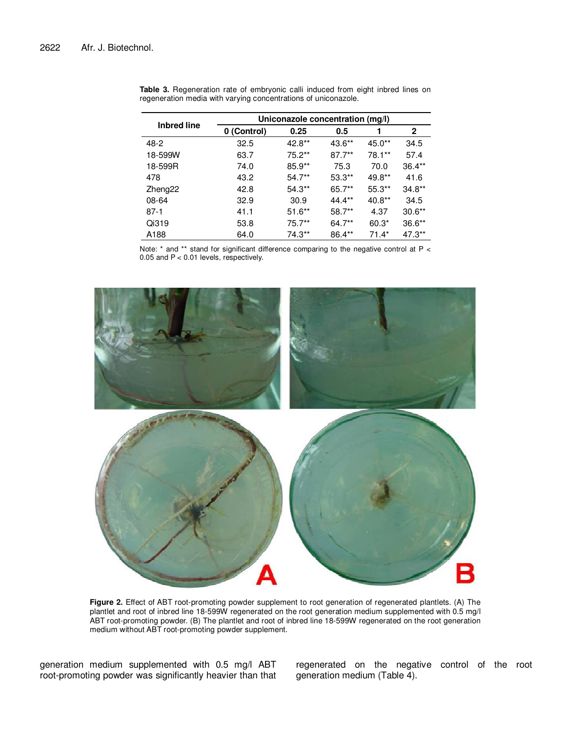|                    | Uniconazole concentration (mg/l) |           |           |          |              |  |  |  |  |
|--------------------|----------------------------------|-----------|-----------|----------|--------------|--|--|--|--|
| <b>Inbred line</b> | 0 (Control)                      | 0.25      | 0.5       |          | $\mathbf{2}$ |  |  |  |  |
| $48-2$             | 32.5                             | 42.8**    | 43.6**    | 45.0**   | 34.5         |  |  |  |  |
| 18-599W            | 63.7                             | $75.2**$  | $87.7***$ | 78.1**   | 57.4         |  |  |  |  |
| 18-599R            | 74.0                             | $85.9**$  | 75.3      | 70.0     | $36.4**$     |  |  |  |  |
| 478                | 43.2                             | $54.7***$ | $53.3**$  | 49.8**   | 41.6         |  |  |  |  |
| Zheng22            | 42.8                             | $54.3**$  | 65.7**    | $55.3**$ | $34.8**$     |  |  |  |  |
| 08-64              | 32.9                             | 30.9      | $44.4**$  | $40.8**$ | 34.5         |  |  |  |  |
| $87-1$             | 41.1                             | $51.6**$  | 58.7**    | 4.37     | $30.6**$     |  |  |  |  |
| Qi319              | 53.8                             | $75.7**$  | 64.7**    | $60.3*$  | $36.6**$     |  |  |  |  |
| A188               | 64.0                             | 74.3**    | 86.4**    | $71.4*$  | $47.3**$     |  |  |  |  |

**Table 3.** Regeneration rate of embryonic calli induced from eight inbred lines on regeneration media with varying concentrations of uniconazole.

Note: \* and \*\* stand for significant difference comparing to the negative control at P < 0.05 and P < 0.01 levels, respectively.



**Figure 2.** Effect of ABT root-promoting powder supplement to root generation of regenerated plantlets. (A) The plantlet and root of inbred line 18-599W regenerated on the root generation medium supplemented with 0.5 mg/l ABT root-promoting powder. (B) The plantlet and root of inbred line 18-599W regenerated on the root generation medium without ABT root-promoting powder supplement.

generation medium supplemented with 0.5 mg/l ABT root-promoting powder was significantly heavier than that regenerated on the negative control of the root generation medium (Table 4).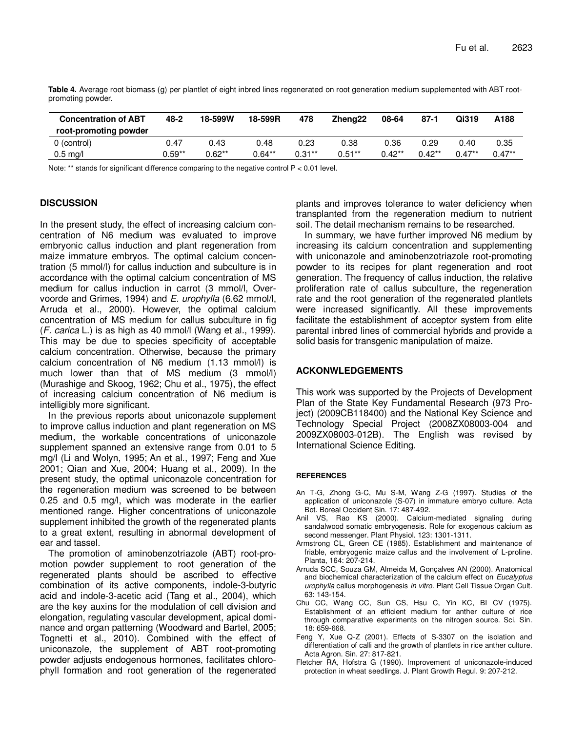| <b>Concentration of ABT</b><br>root-promoting powder | $48 - 2$ | 18-599W  | 18-599R   | 478      | Zhena <sub>22</sub> | 08-64    | $87 - 1$  | Qi319    | A188     |
|------------------------------------------------------|----------|----------|-----------|----------|---------------------|----------|-----------|----------|----------|
| 0 (control)                                          | 0.47     | 0.43     | 0.48      | 0.23     | 0.38                | 0.36     | 0.29      | 0.40     | 0.35     |
| $0.5 \text{ mg/l}$                                   | 0.59**   | $0.62**$ | $0.64***$ | $0.31**$ | $0.51**$            | $0.42**$ | $0.42***$ | $0.47**$ | $0.47**$ |

**Table 4.** Average root biomass (g) per plantlet of eight inbred lines regenerated on root generation medium supplemented with ABT rootpromoting powder.

Note: \*\* stands for significant difference comparing to the negative control P < 0.01 level.

# **DISCUSSION**

In the present study, the effect of increasing calcium concentration of N6 medium was evaluated to improve embryonic callus induction and plant regeneration from maize immature embryos. The optimal calcium concentration (5 mmol/l) for callus induction and subculture is in accordance with the optimal calcium concentration of MS medium for callus induction in carrot (3 mmol/l, Overvoorde and Grimes, 1994) and E. urophylla (6.62 mmol/l, Arruda et al., 2000). However, the optimal calcium concentration of MS medium for callus subculture in fig  $(F. carica L.)$  is as high as 40 mmol/l (Wang et al., 1999). This may be due to species specificity of acceptable calcium concentration. Otherwise, because the primary calcium concentration of N6 medium (1.13 mmol/l) is much lower than that of MS medium (3 mmol/l) (Murashige and Skoog, 1962; Chu et al., 1975), the effect of increasing calcium concentration of N6 medium is intelligibly more significant.

In the previous reports about uniconazole supplement to improve callus induction and plant regeneration on MS medium, the workable concentrations of uniconazole supplement spanned an extensive range from 0.01 to 5 mg/l (Li and Wolyn, 1995; An et al., 1997; Feng and Xue 2001; Qian and Xue, 2004; Huang et al., 2009). In the present study, the optimal uniconazole concentration for the regeneration medium was screened to be between 0.25 and 0.5 mg/l, which was moderate in the earlier mentioned range. Higher concentrations of uniconazole supplement inhibited the growth of the regenerated plants to a great extent, resulting in abnormal development of ear and tassel.

The promotion of aminobenzotriazole (ABT) root-promotion powder supplement to root generation of the regenerated plants should be ascribed to effective combination of its active components, indole-3-butyric acid and indole-3-acetic acid (Tang et al., 2004), which are the key auxins for the modulation of cell division and elongation, regulating vascular development, apical dominance and organ patterning (Woodward and Bartel, 2005; Tognetti et al., 2010). Combined with the effect of uniconazole, the supplement of ABT root-promoting powder adjusts endogenous hormones, facilitates chlorophyll formation and root generation of the regenerated plants and improves tolerance to water deficiency when transplanted from the regeneration medium to nutrient soil. The detail mechanism remains to be researched.

In summary, we have further improved N6 medium by increasing its calcium concentration and supplementing with uniconazole and aminobenzotriazole root-promoting powder to its recipes for plant regeneration and root generation. The frequency of callus induction, the relative proliferation rate of callus subculture, the regeneration rate and the root generation of the regenerated plantlets were increased significantly. All these improvements facilitate the establishment of acceptor system from elite parental inbred lines of commercial hybrids and provide a solid basis for transgenic manipulation of maize.

## **ACKONWLEDGEMENTS**

This work was supported by the Projects of Development Plan of the State Key Fundamental Research (973 Project) (2009CB118400) and the National Key Science and Technology Special Project (2008ZX08003-004 and 2009ZX08003-012B). The English was revised by International Science Editing.

## **REFERENCES**

- An T-G, Zhong G-C, Mu S-M, Wang Z-G (1997). Studies of the application of uniconazole (S-07) in immature embryo culture. Acta Bot. Boreal Occident Sin. 17: 487-492.
- Anil VS, Rao KS (2000). Calcium-mediated signaling during sandalwood somatic embryogenesis. Role for exogenous calcium as second messenger. Plant Physiol. 123: 1301-1311.
- Armstrong CL, Green CE (1985). Establishment and maintenance of friable, embryogenic maize callus and the involvement of L-proline. Planta, 164: 207-214.
- Arruda SCC, Souza GM, Almeida M, Gonçalves AN (2000). Anatomical and biochemical characterization of the calcium effect on Eucalyptus urophylla callus morphogenesis in vitro. Plant Cell Tissue Organ Cult. 63: 143-154.
- Chu CC, Wang CC, Sun CS, Hsu C, Yin KC, BI CV (1975). Establishment of an efficient medium for anther culture of rice through comparative experiments on the nitrogen source. Sci. Sin. 18: 659-668.
- Feng Y, Xue Q-Z (2001). Effects of S-3307 on the isolation and differentiation of calli and the growth of plantlets in rice anther culture. Acta Agron. Sin. 27: 817-821.
- Fletcher RA, Hofstra G (1990). Improvement of uniconazole-induced protection in wheat seedlings. J. Plant Growth Regul. 9: 207-212.